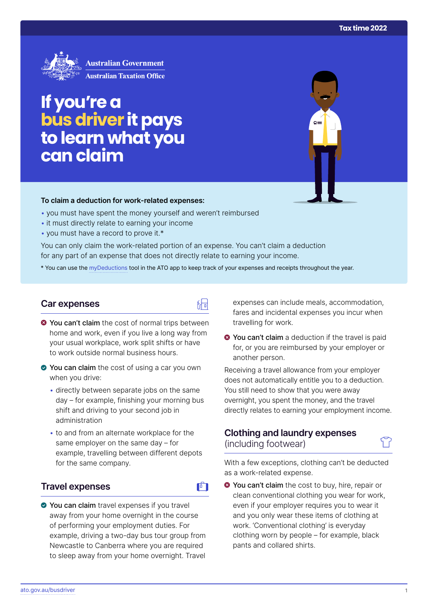

# **If you're a busdriver it pays to learn what you can claim**

#### **To claim a deduction for work‑related expenses:**

- you must have spent the money yourself and weren't reimbursed
- it must directly relate to earning your income
- you must have a record to prove it.\*

You can only claim the work-related portion of an expense. You can't claim a deduction for any part of an expense that does not directly relate to earning your income.

\* You can use the [myDeductions](https://ato.gov.au/mydeductions) tool in the ATO app to keep track of your expenses and receipts throughout the year.

品

 $\mathbf{F}$ 

#### **Car expenses**

- $\bullet$  You can't claim the cost of normal trips between home and work, even if you live a long way from your usual workplace, work split shifts or have to work outside normal business hours.
- You can claim the cost of using a car you own when you drive:
	- directly between separate jobs on the same day – for example, finishing your morning bus shift and driving to your second job in administration
	- to and from an alternate workplace for the same employer on the same day – for example, travelling between different depots for the same company.

#### **Travel expenses**

◆ You can claim travel expenses if you travel away from your home overnight in the course of performing your employment duties. For example, driving a two-day bus tour group from Newcastle to Canberra where you are required to sleep away from your home overnight. Travel

expenses can include meals, accommodation, fares and incidental expenses you incur when travelling for work.

**◆ You can't claim** a deduction if the travel is paid for, or you are reimbursed by your employer or another person.

Receiving a travel allowance from your employer does not automatically entitle you to a deduction. You still need to show that you were away overnight, you spent the money, and the travel directly relates to earning your employment income.

### **Clothing and laundry expenses**  (including footwear)

With a few exceptions, clothing can't be deducted as a work-related expense.

**◆ You can't claim** the cost to buy, hire, repair or clean conventional clothing you wear for work, even if your employer requires you to wear it and you only wear these items of clothing at work. 'Conventional clothing' is everyday clothing worn by people – for example, black pants and collared shirts.